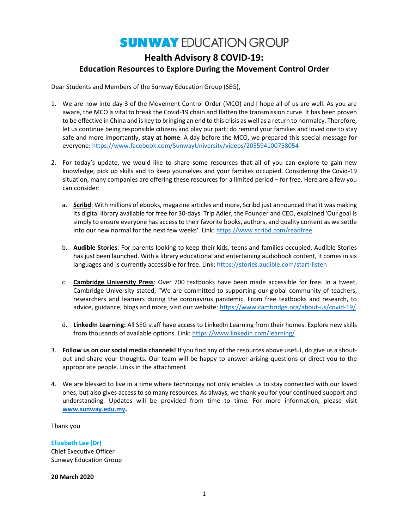# **SUNWAY EDUCATION GROUP** Health Advisory 8 COVID-19: Education Resources to Explore During the Movement Control Order

Dear Students and Members of the Sunway Education Group (SEG),

- 1. We are now into day-3 of the Movement Control Order (MCO) and I hope all of us are well. As you are aware, the MCO is vital to break the Covid-19 chain and flatten the transmission curve. It has been proven to be effective in China and is key to bringing an end to this crisis as well as a return to normalcy. Therefore, let us continue being responsible citizens and play our part; do remind your families and loved one to stay safe and more importantly, stay at home. A day before the MCO, we prepared this special message for everyone: https://www.facebook.com/SunwayUniversity/videos/205594100758054
- 2. For today's update, we would like to share some resources that all of you can explore to gain new knowledge, pick up skills and to keep yourselves and your families occupied. Considering the Covid-19 situation, many companies are offering these resources for a limited period – for free. Here are a few you can consider:
	- a. Scribd: With millions of ebooks, magazine articles and more, Scribd just announced that it was making its digital library available for free for 30-days. Trip Adler, the Founder and CEO, explained 'Our goal is simply to ensure everyone has access to their favorite books, authors, and quality content as we settle into our new normal for the next few weeks'. Link: https://www.scribd.com/readfree
	- b. Audible Stories: For parents looking to keep their kids, teens and families occupied, Audible Stories has just been launched. With a library educational and entertaining audiobook content, it comes in six languages and is currently accessible for free. Link: https://stories.audible.com/start-listen
	- c. Cambridge University Press: Over 700 textbooks have been made accessible for free. In a tweet, Cambridge University stated, "We are committed to supporting our global community of teachers, researchers and learners during the coronavirus pandemic. From free textbooks and research, to advice, guidance, blogs and more, visit our website: https://www.cambridge.org/about-us/covid-19/
	- d. LinkedIn Learning: All SEG staff have access to LinkedIn Learning from their homes. Explore new skills from thousands of available options. Link: https://www.linkedin.com/learning/
- 3. Follow us on our social media channels! If you find any of the resources above useful, do give us a shoutout and share your thoughts. Our team will be happy to answer arising questions or direct you to the appropriate people. Links in the attachment.
- 4. We are blessed to live in a time where technology not only enables us to stay connected with our loved ones, but also gives access to so many resources. As always, we thank you for your continued support and understanding. Updates will be provided from time to time. For more information, please visit www.sunway.edu.my.

Thank you

Elizabeth Lee (Dr) Chief Executive Officer Sunway Education Group

20 March 2020